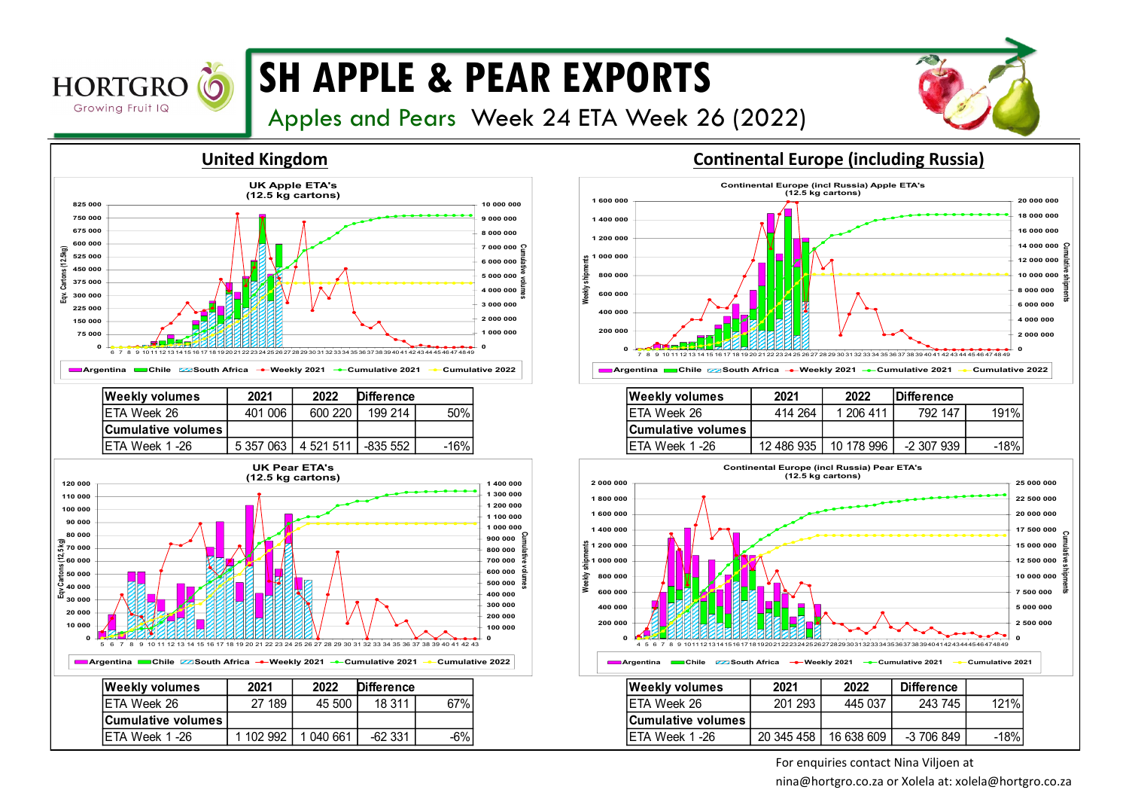

## **SH APPLE & PEAR EXPORTS**

Apples and Pears Week 24 ETA Week 26 (2022)





| ZUZ I      | ZUZZ       | ipinerence |      |
|------------|------------|------------|------|
| 414 264    | 1 206 411  | 792 147    | 191% |
|            |            |            |      |
| 12 486 935 | 10 178 996 | -2 307 939 | -18% |
|            |            |            |      |



For enquiries contact Nina Viljoen at